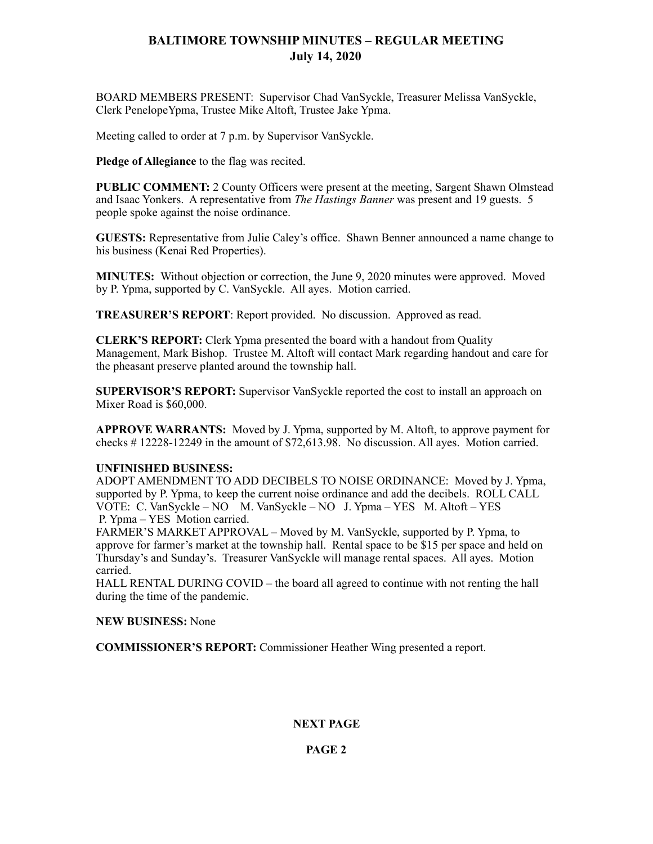## **BALTIMORE TOWNSHIP MINUTES – REGULAR MEETING July 14, 2020**

BOARD MEMBERS PRESENT: Supervisor Chad VanSyckle, Treasurer Melissa VanSyckle, Clerk PenelopeYpma, Trustee Mike Altoft, Trustee Jake Ypma.

Meeting called to order at 7 p.m. by Supervisor VanSyckle.

**Pledge of Allegiance** to the flag was recited.

**PUBLIC COMMENT:** 2 County Officers were present at the meeting, Sargent Shawn Olmstead and Isaac Yonkers. A representative from *The Hastings Banner* was present and 19 guests. 5 people spoke against the noise ordinance.

**GUESTS:** Representative from Julie Caley's office. Shawn Benner announced a name change to his business (Kenai Red Properties).

**MINUTES:** Without objection or correction, the June 9, 2020 minutes were approved. Moved by P. Ypma, supported by C. VanSyckle. All ayes. Motion carried.

**TREASURER'S REPORT**: Report provided. No discussion. Approved as read.

**CLERK'S REPORT:** Clerk Ypma presented the board with a handout from Quality Management, Mark Bishop. Trustee M. Altoft will contact Mark regarding handout and care for the pheasant preserve planted around the township hall.

**SUPERVISOR'S REPORT:** Supervisor VanSyckle reported the cost to install an approach on Mixer Road is \$60,000.

**APPROVE WARRANTS:** Moved by J. Ypma, supported by M. Altoft, to approve payment for checks # 12228-12249 in the amount of \$72,613.98. No discussion. All ayes. Motion carried.

#### **UNFINISHED BUSINESS:**

ADOPT AMENDMENT TO ADD DECIBELS TO NOISE ORDINANCE: Moved by J. Ypma, supported by P. Ypma, to keep the current noise ordinance and add the decibels. ROLL CALL VOTE: C. VanSyckle – NO M. VanSyckle – NO J. Ypma – YES M. Altoft – YES P. Ypma – YES Motion carried.

FARMER'S MARKET APPROVAL – Moved by M. VanSyckle, supported by P. Ypma, to approve for farmer's market at the township hall. Rental space to be \$15 per space and held on Thursday's and Sunday's. Treasurer VanSyckle will manage rental spaces. All ayes. Motion carried.

HALL RENTAL DURING COVID – the board all agreed to continue with not renting the hall during the time of the pandemic.

#### **NEW BUSINESS:** None

**COMMISSIONER'S REPORT:** Commissioner Heather Wing presented a report.

### **NEXT PAGE**

## **PAGE 2**